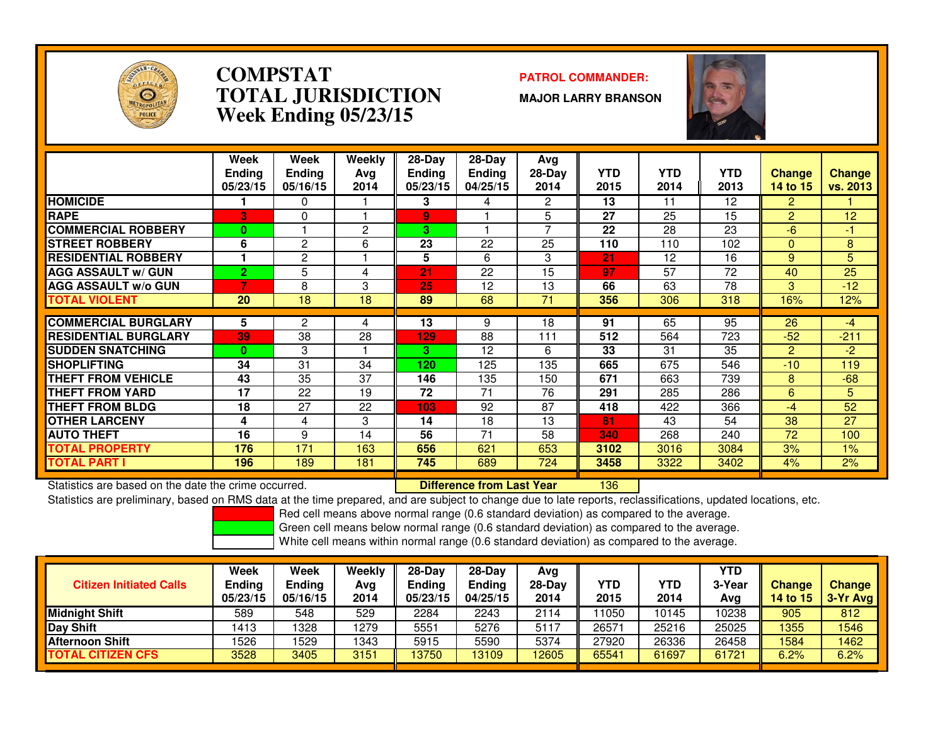

### **COMPSTAT PATROL COMMANDER: TOTAL JURISDICTIONWeek Ending 05/23/15**

**MAJOR LARRY BRANSON**



|                             | Week<br><b>Ending</b><br>05/23/15 | Week<br>Ending<br>05/16/15 | Weekly<br>Ava<br>2014 | 28-Day<br>Ending<br>05/23/15 | $28$ -Day<br><b>Ending</b><br>04/25/15 | Avg<br>$28-Day$<br>2014 | <b>YTD</b><br>2015 | <b>YTD</b><br>2014 | <b>YTD</b><br>2013 | <b>Change</b><br>14 to 15 | <b>Change</b><br>vs. 2013 |
|-----------------------------|-----------------------------------|----------------------------|-----------------------|------------------------------|----------------------------------------|-------------------------|--------------------|--------------------|--------------------|---------------------------|---------------------------|
| <b>HOMICIDE</b>             |                                   | 0                          |                       | 3                            | 4                                      | 2                       | 13                 | 11                 | $12 \overline{ }$  | $\overline{2}$            |                           |
| <b>RAPE</b>                 | 3                                 | 0                          |                       | 9                            |                                        | 5                       | 27                 | 25                 | 15                 | $\overline{2}$            | 12                        |
| <b>COMMERCIAL ROBBERY</b>   | $\bf{0}$                          |                            | 2                     | 3.                           |                                        | 7                       | 22                 | 28                 | 23                 | $-6$                      | -1                        |
| <b>STREET ROBBERY</b>       | 6                                 | 2                          | 6                     | $\overline{23}$              | 22                                     | 25                      | 110                | 110                | 102                | $\Omega$                  | 8                         |
| <b>RESIDENTIAL ROBBERY</b>  |                                   | 2                          |                       | 5                            | 6                                      | 3                       | 21                 | 12                 | 16                 | 9                         | 5                         |
| <b>AGG ASSAULT w/ GUN</b>   | $\overline{2}$                    | 5                          | 4                     | 21                           | 22                                     | 15                      | 97                 | 57                 | 72                 | 40                        | 25                        |
| <b>AGG ASSAULT w/o GUN</b>  |                                   | 8                          | 3                     | 25                           | 12                                     | 13                      | 66                 | 63                 | 78                 | 3                         | $-12$                     |
| <b>TOTAL VIOLENT</b>        | 20                                | 18                         | 18                    | 89                           | 68                                     | 71                      | 356                | 306                | 318                | 16%                       | 12%                       |
|                             |                                   |                            |                       |                              |                                        |                         |                    |                    |                    |                           |                           |
| <b>COMMERCIAL BURGLARY</b>  | 5                                 | 2                          | 4                     | 13                           | 9                                      | 18                      | 91                 | 65                 | 95                 | 26                        | $-4$                      |
| <b>RESIDENTIAL BURGLARY</b> | 39                                | 38                         | $\overline{28}$       | 129                          | 88                                     | 111                     | 512                | 564                | $\overline{723}$   | $-52$                     | $-211$                    |
| <b>SUDDEN SNATCHING</b>     | $\mathbf{0}$                      | 3                          |                       | 3.                           | 12                                     | 6                       | 33                 | 31                 | 35                 | $\overline{2}$            | $-2$                      |
| <b>SHOPLIFTING</b>          | 34                                | 31                         | 34                    | 120                          | 125                                    | 135                     | 665                | 675                | 546                | $-10$                     | 119                       |
| <b>THEFT FROM VEHICLE</b>   | 43                                | 35                         | 37                    | 146                          | 135                                    | 150                     | 671                | 663                | 739                | 8                         | $-68$                     |
| <b>THEFT FROM YARD</b>      | 17                                | 22                         | 19                    | 72                           | 71                                     | 76                      | 291                | 285                | 286                | 6                         | 5.                        |
| <b>THEFT FROM BLDG</b>      | 18                                | 27                         | 22                    | 103                          | 92                                     | 87                      | 418                | 422                | 366                | $-4$                      | 52                        |
| <b>OTHER LARCENY</b>        | 4                                 | 4                          | 3                     | 14                           | 18                                     | 13                      | 81                 | 43                 | 54                 | 38                        | 27                        |
| <b>AUTO THEFT</b>           | 16                                | 9                          | 14                    | 56                           | 71                                     | 58                      | 340                | 268                | 240                | 72                        | 100                       |
| TOTAL PROPERTY              | 176                               | 171                        | 163                   | 656                          | 621                                    | 653                     | 3102               | 3016               | 3084               | 3%                        | 1%                        |
| <b>TOTAL PART I</b>         | 196                               | 189                        | 181                   | 745                          | 689                                    | 724                     | 3458               | 3322               | 3402               | 4%                        | 2%                        |

Statistics are based on the date the crime occurred. **Difference from Last Year** 

<sup>136</sup>

Statistics are preliminary, based on RMS data at the time prepared, and are subject to change due to late reports, reclassifications, updated locations, etc.

Red cell means above normal range (0.6 standard deviation) as compared to the average.

Green cell means below normal range (0.6 standard deviation) as compared to the average.

|                                | Week               | Week               | Weekly      | 28-Dav             | $28-Day$                  | Avg              |                    |                    | <b>YTD</b>    |                           |                             |
|--------------------------------|--------------------|--------------------|-------------|--------------------|---------------------------|------------------|--------------------|--------------------|---------------|---------------------------|-----------------------------|
| <b>Citizen Initiated Calls</b> | Ending<br>05/23/15 | Ending<br>05/16/15 | Ava<br>2014 | Ending<br>05/23/15 | <b>Ending</b><br>04/25/15 | $28-Day$<br>2014 | <b>YTD</b><br>2015 | <b>YTD</b><br>2014 | 3-Year<br>Avg | <b>Change</b><br>14 to 15 | <b>Change</b><br>$3-Yr$ Avg |
| <b>Midnight Shift</b>          | 589                | 548                | 529         | 2284               | 2243                      | 2114             | 1050ء              | 10145              | 10238         | 905                       | 812                         |
| Day Shift                      | 1413               | 1328               | 1279        | 5551               | 5276                      | 5117             | 26571              | 25216              | 25025         | 1355                      | 1546                        |
| Afternoon Shift                | 1526               | 529                | 1343        | 5915               | 5590                      | 5374             | 27920              | 26336              | 26458         | 1584                      | 1462                        |
| <b>TOTAL CITIZEN CFS</b>       | 3528               | 3405               | 3151        | 13750              | 13109                     | 12605            | 65541              | 61697              | 61721         | 6.2%                      | 6.2%                        |
|                                |                    |                    |             |                    |                           |                  |                    |                    |               |                           |                             |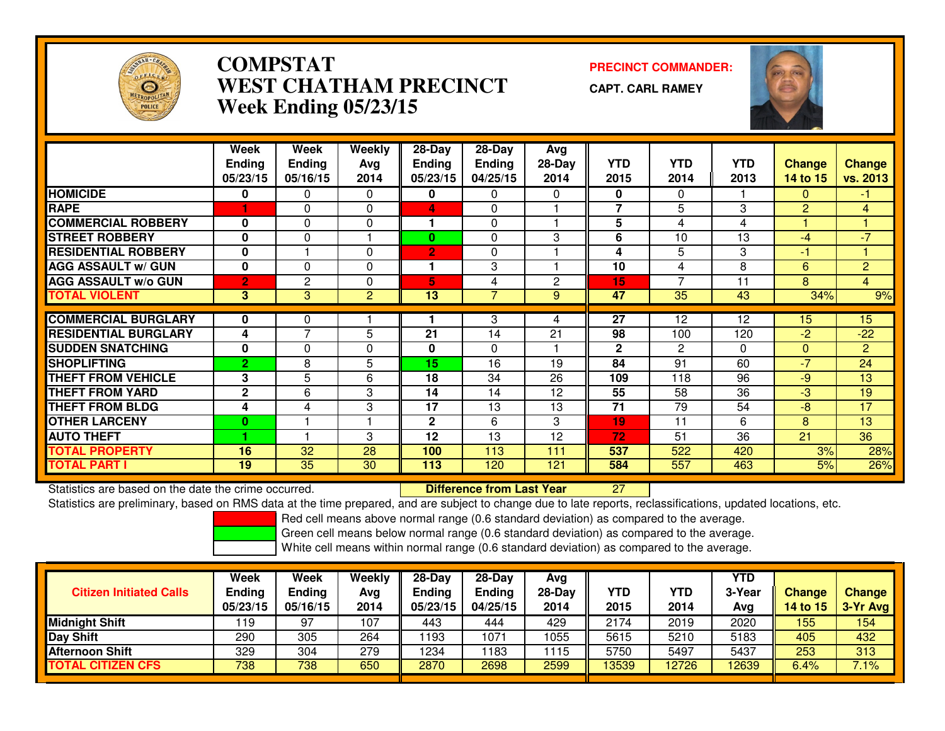

# **COMPSTAT PRECINCT COMMANDER: WEST CHATHAM PRECINCTWeek Ending 05/23/15**

**CAPT. CARL RAMEY**



|                             | Week<br><b>Ending</b><br>05/23/15 | Week<br><b>Ending</b><br>05/16/15 | Weekly<br>Avq<br>2014 | $28-Day$<br><b>Ending</b><br>05/23/15 | $28$ -Day<br><b>Ending</b><br>04/25/15 | Avg<br>$28-Day$<br>2014 | <b>YTD</b><br>2015 | <b>YTD</b><br>2014 | <b>YTD</b><br>2013 | <b>Change</b><br>14 to 15 | <b>Change</b><br>vs. 2013 |
|-----------------------------|-----------------------------------|-----------------------------------|-----------------------|---------------------------------------|----------------------------------------|-------------------------|--------------------|--------------------|--------------------|---------------------------|---------------------------|
| <b>HOMICIDE</b>             | 0                                 | 0                                 | 0                     | 0                                     | 0                                      | 0                       | 0                  | $\Omega$           |                    | 0                         | $-1$                      |
| <b>RAPE</b>                 |                                   | 0                                 | $\Omega$              | 4                                     | $\Omega$                               |                         | $\overline{7}$     | 5                  | 3                  | $\overline{2}$            | 4                         |
| <b>COMMERCIAL ROBBERY</b>   | 0                                 | $\Omega$                          | 0                     |                                       | $\Omega$                               |                         | 5                  | 4                  | 4                  |                           |                           |
| <b>STREET ROBBERY</b>       | 0                                 | $\Omega$                          | ٠                     | 0                                     | $\Omega$                               | 3                       | 6                  | 10                 | 13                 | $-4$                      | $-7$                      |
| <b>RESIDENTIAL ROBBERY</b>  | $\bf{0}$                          |                                   | $\Omega$              | 2                                     | $\Omega$                               |                         | 4                  | 5                  | 3                  | -1                        |                           |
| <b>AGG ASSAULT w/ GUN</b>   | $\bf{0}$                          | $\Omega$                          | 0                     |                                       | 3                                      |                         | 10                 | 4                  | 8                  | 6                         | $\overline{2}$            |
| <b>AGG ASSAULT w/o GUN</b>  | $\overline{2}$                    | 2                                 | 0                     | 5                                     | 4                                      | $\mathbf{2}$            | 15                 |                    | 11                 | 8                         | $\overline{4}$            |
| <b>TOTAL VIOLENT</b>        | 3                                 | 3                                 | 2                     | 13                                    | 7                                      | 9                       | 47                 | 35                 | 43                 | 34%                       | 9%                        |
|                             |                                   |                                   |                       |                                       |                                        |                         |                    |                    |                    |                           |                           |
| <b>COMMERCIAL BURGLARY</b>  | 0                                 | 0                                 |                       |                                       | 3                                      | 4                       | $\overline{27}$    | 12                 | 12                 | 15                        | 15                        |
| <b>RESIDENTIAL BURGLARY</b> | 4                                 | ⇁                                 | 5                     | 21                                    | 14                                     | 21                      | 98                 | 100                | 120                | $-2$                      | $-22$                     |
| <b>SUDDEN SNATCHING</b>     | $\bf{0}$                          | $\Omega$                          | 0                     | 0                                     | $\Omega$                               |                         | $\mathbf{2}$       | 2                  | $\Omega$           | $\Omega$                  | $\overline{2}$            |
| <b>SHOPLIFTING</b>          | $\overline{2}$                    | 8                                 | 5                     | 15                                    | 16                                     | 19                      | 84                 | 91                 | 60                 | $-7$                      | 24                        |
| <b>THEFT FROM VEHICLE</b>   | 3                                 | 5                                 | 6                     | 18                                    | 34                                     | 26                      | 109                | 118                | 96                 | $-9$                      | 13                        |
| <b>THEFT FROM YARD</b>      | $\mathbf{2}$                      | 6                                 | 3                     | 14                                    | 14                                     | 12                      | 55                 | 58                 | 36                 | $-3$                      | 19                        |
| <b>THEFT FROM BLDG</b>      | 4                                 | 4                                 | 3                     | 17                                    | 13                                     | 13                      | 71                 | 79                 | 54                 | $-8$                      | 17                        |
| <b>OTHER LARCENY</b>        | $\bf{0}$                          |                                   |                       | 2                                     | 6                                      | 3                       | 19                 | 11                 | 6                  | 8                         | 13                        |
| <b>AUTO THEFT</b>           |                                   |                                   | 3                     | 12                                    | 13                                     | 12                      | 72                 | 51                 | 36                 | 21                        | 36                        |
| <b>TOTAL PROPERTY</b>       | 16                                | 32                                | 28                    | 100                                   | 113                                    | 111                     | 537                | 522                | 420                | 3%                        | 28%                       |
| <b>TOTAL PART I</b>         | 19                                | 35                                | 30                    | 113                                   | 120                                    | 121                     | 584                | 557                | 463                | 5%                        | 26%                       |

Statistics are based on the date the crime occurred. **Difference from Last Year** 

Statistics are based on the date the crime occurred.<br>Statistics are preliminary, based on RMS data at the time prepared, and are subject to change due to late reports, reclassifications, updated locations, etc.

Red cell means above normal range (0.6 standard deviation) as compared to the average.

Green cell means below normal range (0.6 standard deviation) as compared to the average.

| <b>Citizen Initiated Calls</b> | Week<br><b>Ending</b><br>05/23/15 | Week<br><b>Ending</b><br>05/16/15 | Weekly<br>Avg<br>2014 | $28-Dav$<br><b>Ending</b><br>05/23/15 | $28-Dav$<br>Ending<br>04/25/15 | Ava<br>$28-Day$<br>2014 | YTD<br>2015 | YTD<br>2014 | YTD.<br>3-Year<br>Avg | <b>Change</b><br><b>14 to 15</b> | <b>Change</b><br>$3-Yr$ Avg |
|--------------------------------|-----------------------------------|-----------------------------------|-----------------------|---------------------------------------|--------------------------------|-------------------------|-------------|-------------|-----------------------|----------------------------------|-----------------------------|
| <b>Midnight Shift</b>          | ∣19                               | 97                                | 107                   | 443                                   | 444                            | 429                     | 2174        | 2019        | 2020                  | 155                              | 154                         |
| Day Shift                      | 290                               | 305                               | 264                   | 1193                                  | 1071                           | 1055                    | 5615        | 5210        | 5183                  | 405                              | 432                         |
| <b>Afternoon Shift</b>         | 329                               | 304                               | 279                   | 1234                                  | 183                            | 1115                    | 5750        | 5497        | 5437                  | 253                              | 313                         |
| <b>TOTAL CITIZEN CFS</b>       | 738                               | 738                               | 650                   | 2870                                  | 2698                           | 2599                    | 13539       | 2726        | 12639                 | 6.4%                             | 7.1%                        |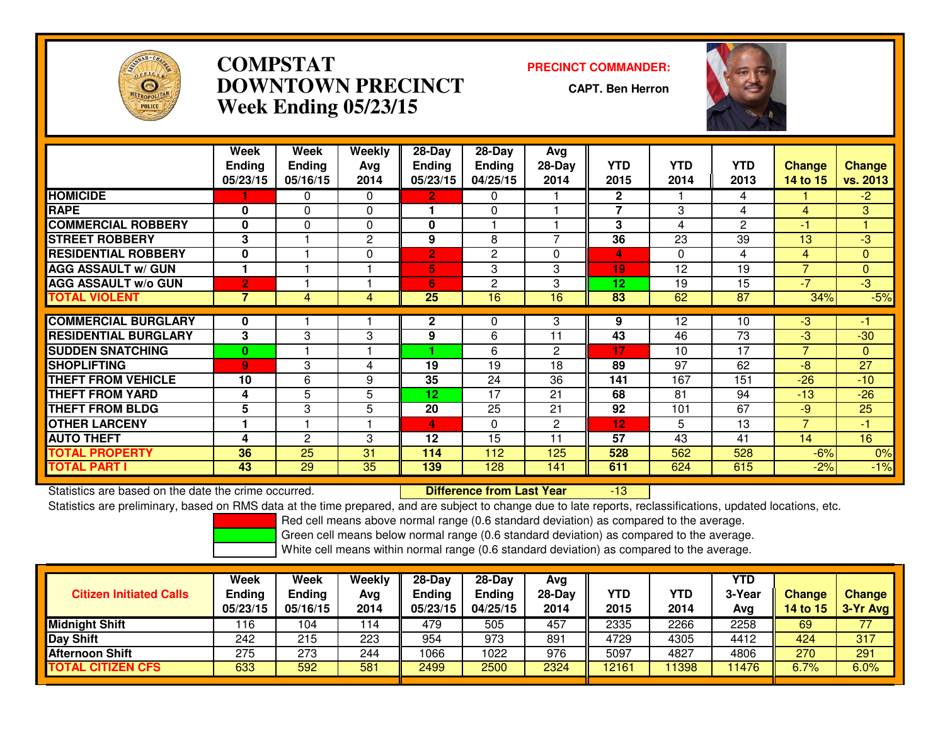

# **COMPSTAT PRECINCT COMMANDER: DOWNTOWN PRECINCTWeek Ending 05/23/15**

**CAPT. Ben Herron**

-13



|                             | Week           | Week           | Weekly   | 28-Day          | 28-Day        | Avg                      |                |            |                 |                |                |
|-----------------------------|----------------|----------------|----------|-----------------|---------------|--------------------------|----------------|------------|-----------------|----------------|----------------|
|                             | <b>Ending</b>  | <b>Ending</b>  | Avg      | <b>Ending</b>   | <b>Ending</b> | 28-Day                   | <b>YTD</b>     | <b>YTD</b> | <b>YTD</b>      | <b>Change</b>  | <b>Change</b>  |
|                             | 05/23/15       | 05/16/15       | 2014     | 05/23/15        | 04/25/15      | 2014                     | 2015           | 2014       | 2013            | 14 to 15       | vs. 2013       |
| <b>HOMICIDE</b>             |                | 0              | $\Omega$ | 2.              | 0             |                          | $\mathbf{2}$   |            | 4               |                | $-2$           |
| <b>RAPE</b>                 | $\bf{0}$       | $\mathbf{0}$   | 0        |                 | $\Omega$      |                          | $\overline{7}$ | 3          | 4               | 4              | 3              |
| <b>COMMERCIAL ROBBERY</b>   | $\bf{0}$       | $\Omega$       | $\Omega$ | $\mathbf{0}$    |               |                          | 3              | 4          | $\overline{2}$  | -1             |                |
| <b>STREET ROBBERY</b>       | 3              |                | 2        | 9               | 8             | $\overline{\phantom{0}}$ | 36             | 23         | 39              | 13             | $-3$           |
| <b>RESIDENTIAL ROBBERY</b>  | $\bf{0}$       |                | 0        | $\overline{2}$  | 2             | $\Omega$                 | 4              | 0          | 4               | 4              | $\mathbf{0}$   |
| <b>AGG ASSAULT w/ GUN</b>   |                |                |          | 5               | 3             | 3                        | 19             | 12         | 19              | $\overline{ }$ | $\overline{0}$ |
| <b>AGG ASSAULT w/o GUN</b>  | $\overline{2}$ |                |          | 6               | 2             | 3                        | 12             | 19         | 15              | $-7$           | $-3$           |
| <b>TOTAL VIOLENT</b>        | $\overline{7}$ | 4              | 4        | $\overline{25}$ | 16            | 16                       | 83             | 62         | $\overline{87}$ | 34%            | $-5%$          |
|                             |                |                |          |                 |               |                          |                |            |                 |                |                |
| <b>COMMERCIAL BURGLARY</b>  | 0              |                |          | $\mathbf{2}$    | 0             | 3                        | 9              | $12 \,$    | 10              | $-3$           | 41             |
| <b>RESIDENTIAL BURGLARY</b> | 3              | 3              | 3        | 9               | 6             | 11                       | 43             | 46         | 73              | $-3$           | $-30$          |
| <b>SUDDEN SNATCHING</b>     | $\bf{0}$       |                |          |                 | 6             | $\overline{c}$           | 17             | 10         | 17              | $\overline{7}$ | $\mathbf{0}$   |
| <b>SHOPLIFTING</b>          | $\overline{9}$ | 3              | 4        | 19              | 19            | 18                       | 89             | 97         | 62              | $-8$           | 27             |
| <b>THEFT FROM VEHICLE</b>   | 10             | 6              | 9        | 35              | 24            | 36                       | 141            | 167        | 151             | $-26$          | $-10$          |
| <b>THEFT FROM YARD</b>      | 4              | 5              | 5        | 12              | 17            | 21                       | 68             | 81         | 94              | $-13$          | $-26$          |
| <b>THEFT FROM BLDG</b>      | 5              | 3              | 5        | 20              | 25            | 21                       | 92             | 101        | 67              | $-9$           | 25             |
| <b>OTHER LARCENY</b>        |                |                |          | 4               | $\Omega$      | 2                        | 12             | 5          | 13              | 7              | $-1$           |
| <b>AUTO THEFT</b>           | 4              | $\overline{c}$ | 3        | 12              | 15            | 11                       | 57             | 43         | 41              | 14             | 16             |
| <b>TOTAL PROPERTY</b>       | 36             | 25             | 31       | 114             | 112           | 125                      | 528            | 562        | 528             | $-6%$          | 0%             |
| TOTAL PART I                | 43             | 29             | 35       | 139             | 128           | 141                      | 611            | 624        | 615             | $-2%$          | $-1%$          |

Statistics are based on the date the crime occurred. **Difference from Last Year** 

Statistics are preliminary, based on RMS data at the time prepared, and are subject to change due to late reports, reclassifications, updated locations, etc.

Red cell means above normal range (0.6 standard deviation) as compared to the average.

Green cell means below normal range (0.6 standard deviation) as compared to the average.

| <b>Citizen Initiated Calls</b> | Week<br><b>Ending</b><br>05/23/15 | Week<br><b>Ending</b><br>05/16/15 | Weekly<br>Avg<br>2014 | 28-Day<br><b>Ending</b><br>05/23/15 | $28-Dav$<br><b>Ending</b><br>04/25/15 | Avg<br>$28-Day$<br>2014 | YTD<br>2015 | YTD<br>2014 | YTD<br>3-Year<br>Avg | <b>Change</b><br><b>14 to 15</b> | <b>Change</b><br>3-Yr Avg |
|--------------------------------|-----------------------------------|-----------------------------------|-----------------------|-------------------------------------|---------------------------------------|-------------------------|-------------|-------------|----------------------|----------------------------------|---------------------------|
| <b>Midnight Shift</b>          | 116                               | 104                               | 114                   | 479                                 | 505                                   | 457                     | 2335        | 2266        | 2258                 | 69                               | 77                        |
| Day Shift                      | 242                               | 215                               | 223                   | 954                                 | 973                                   | 891                     | 4729        | 4305        | 4412                 | 424                              | 317                       |
| <b>Afternoon Shift</b>         | 275                               | 273                               | 244                   | 1066                                | 1022                                  | 976                     | 5097        | 4827        | 4806                 | 270                              | 291                       |
| <b>TOTAL CITIZEN CFS</b>       | 633                               | 592                               | 581                   | 2499                                | 2500                                  | 2324                    | 12161       | 1398        | 11476                | 6.7%                             | 6.0%                      |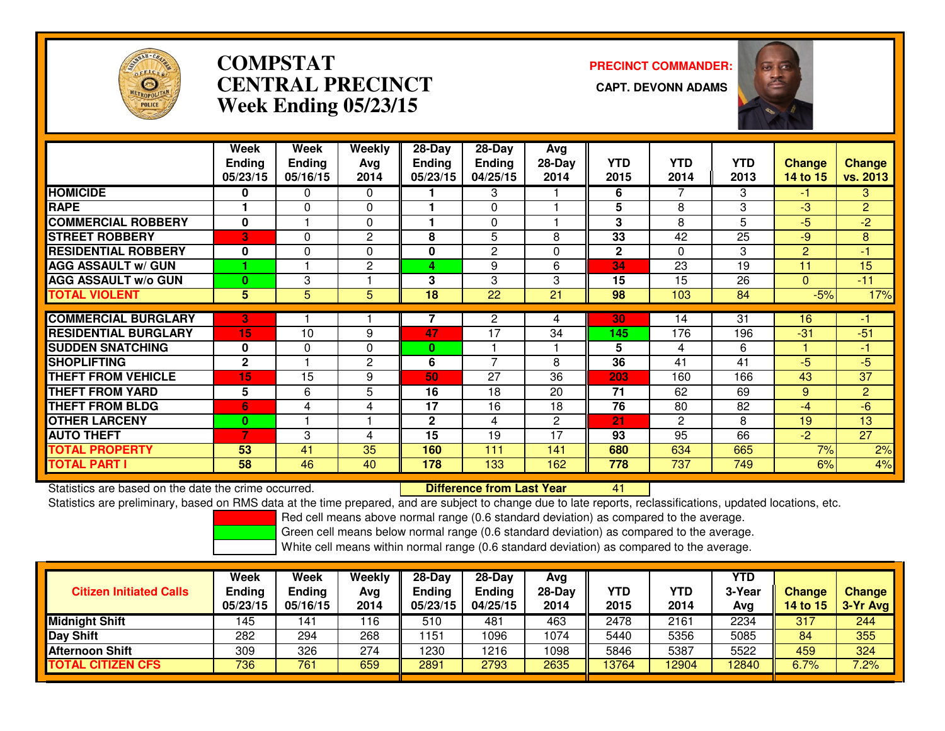

# **COMPSTATCENTRAL PRECINCT Week Ending 05/23/15**

**PRECINCT COMMANDER:**



|                             | Week          | Week          | Weekly         | $28$ -Day    | $28$ -Day      | Avg          |              |                |            |                |                |
|-----------------------------|---------------|---------------|----------------|--------------|----------------|--------------|--------------|----------------|------------|----------------|----------------|
|                             | <b>Ending</b> | <b>Endina</b> | Avg            | Endina       | <b>Ending</b>  | $28-Day$     | <b>YTD</b>   | <b>YTD</b>     | <b>YTD</b> | <b>Change</b>  | <b>Change</b>  |
|                             | 05/23/15      | 05/16/15      | 2014           | 05/23/15     | 04/25/15       | 2014         | 2015         | 2014           | 2013       | 14 to 15       | vs. 2013       |
| <b>HOMICIDE</b>             | 0             | 0             | $\Omega$       |              | 3              |              | 6            | 7              | 3          | $-1$           | 3              |
| <b>RAPE</b>                 |               | $\Omega$      | 0              |              | 0              |              | 5            | 8              | 3          | $-3$           | $\overline{2}$ |
| <b>COMMERCIAL ROBBERY</b>   | $\bf{0}$      |               | $\Omega$       |              | 0              |              | 3            | 8              | 5          | $-5$           | $-2$           |
| <b>STREET ROBBERY</b>       | 3             | 0             | 2              | 8            | 5              | 8            | 33           | 42             | 25         | $-9$           | 8              |
| <b>RESIDENTIAL ROBBERY</b>  | $\bf{0}$      | $\Omega$      | $\Omega$       | 0            | $\overline{2}$ | $\Omega$     | $\mathbf{2}$ | 0              | 3          | $\overline{2}$ | -1             |
| <b>AGG ASSAULT w/ GUN</b>   |               |               | 2              | 4            | 9              | 6            | 34           | 23             | 19         | 11             | 15             |
| <b>AGG ASSAULT w/o GUN</b>  | $\bf{0}$      | 3             |                | 3            | 3              | 3            | 15           | 15             | 26         | $\Omega$       | $-11$          |
| <b>TOTAL VIOLENT</b>        | 5             | 5             | 5              | 18           | 22             | 21           | 98           | 103            | 84         | $-5%$          | 17%            |
| <b>COMMERCIAL BURGLARY</b>  | 3             |               |                |              | $\overline{c}$ | 4            | 30           | 14             | 31         | 16             | -1             |
|                             |               |               |                |              |                |              |              |                |            |                |                |
| <b>RESIDENTIAL BURGLARY</b> | 15            | 10            | 9              | 47           | 17             | 34           | 145          | 176            | 196        | $-31$          | $-51$          |
| <b>SUDDEN SNATCHING</b>     | 0             | 0             | $\Omega$       | 0            |                |              | 5            | 4              | 6          |                | $-1$           |
| <b>SHOPLIFTING</b>          | $\mathbf{2}$  |               | $\overline{2}$ | 6            | 7              | 8            | 36           | 41             | 41         | -5             | -5             |
| <b>THEFT FROM VEHICLE</b>   | 15            | 15            | 9              | 50           | 27             | 36           | 203          | 160            | 166        | 43             | 37             |
| <b>THEFT FROM YARD</b>      | 5             | 6             | 5              | 16           | 18             | 20           | 71           | 62             | 69         | 9              | $\overline{2}$ |
| <b>THEFT FROM BLDG</b>      | 6             | 4             | 4              | 17           | 16             | 18           | 76           | 80             | 82         | $-4$           | $-6$           |
| <b>OTHER LARCENY</b>        | $\bf{0}$      |               |                | $\mathbf{2}$ | 4              | $\mathbf{2}$ | 21           | $\overline{2}$ | 8          | 19             | 13             |
| <b>AUTO THEFT</b>           | 7             | 3             | 4              | 15           | 19             | 17           | 93           | 95             | 66         | $-2$           | 27             |
| <b>TOTAL PROPERTY</b>       | 53            | 41            | 35             | 160          | 111            | 141          | 680          | 634            | 665        | 7%             | 2%             |
| <b>TOTAL PART I</b>         | 58            | 46            | 40             | 178          | 133            | 162          | 778          | 737            | 749        | 6%             | 4%             |

Statistics are based on the date the crime occurred. **Difference from Last Year** 

Statistics are based on the date the crime occurred.<br>Statistics are preliminary, based on RMS data at the time prepared, and are subject to change due to late reports, reclassifications, updated locations, etc.

Red cell means above normal range (0.6 standard deviation) as compared to the average.

Green cell means below normal range (0.6 standard deviation) as compared to the average.

| <b>Citizen Initiated Calls</b> | Week<br><b>Ending</b><br>05/23/15 | Week<br>Ending<br>05/16/15 | Weekly<br>Avg<br>2014 | $28-Dav$<br><b>Ending</b><br>05/23/15 | $28-Day$<br><b>Ending</b><br>04/25/15 | Avg<br>28-Day<br>2014 | YTD<br>2015 | <b>YTD</b><br>2014 | YTD<br>3-Year<br>Avg | <b>Change</b><br>14 to 15 | <b>Change</b><br>3-Yr Avg |
|--------------------------------|-----------------------------------|----------------------------|-----------------------|---------------------------------------|---------------------------------------|-----------------------|-------------|--------------------|----------------------|---------------------------|---------------------------|
| <b>Midnight Shift</b>          | 145                               | 141                        | 116                   | 510                                   | 481                                   | 463                   | 2478        | 2161               | 2234                 | 317                       | 244                       |
| <b>Day Shift</b>               | 282                               | 294                        | 268                   | 151                                   | 1096                                  | 1074                  | 5440        | 5356               | 5085                 | 84                        | 355                       |
| Afternoon Shift                | 309                               | 326                        | 274                   | 1230                                  | 1216                                  | 1098                  | 5846        | 5387               | 5522                 | 459                       | 324                       |
| <b>TOTAL CITIZEN CFS</b>       | 736                               | 761                        | 659                   | 2891                                  | 2793                                  | 2635                  | 13764       | 2904               | 12840                | 6.7%                      | 7.2%                      |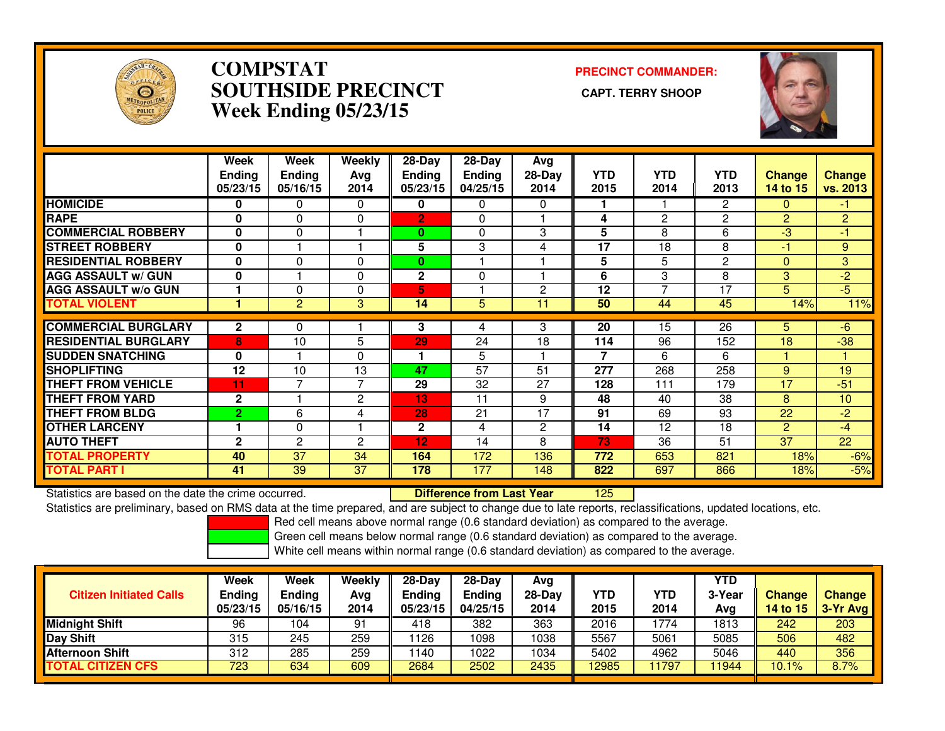

### **COMPSTAT PRECINCT COMMANDER: SOUTHSIDE PRECINCT CAPT. TERRY SHOOPWeek Ending 05/23/15**



|                             | Week<br><b>Ending</b><br>05/23/15 | Week<br><b>Ending</b><br>05/16/15 | Weekly<br>Avg<br>2014 | $28 - Day$<br><b>Endina</b><br>05/23/15 | $28 - Day$<br><b>Ending</b><br>04/25/15 | Avg<br>$28-Dav$<br>2014 | <b>YTD</b><br>2015       | <b>YTD</b><br>2014 | <b>YTD</b><br>2013 | <b>Change</b><br>14 to 15 | <b>Change</b><br>vs. 2013 |
|-----------------------------|-----------------------------------|-----------------------------------|-----------------------|-----------------------------------------|-----------------------------------------|-------------------------|--------------------------|--------------------|--------------------|---------------------------|---------------------------|
| <b>HOMICIDE</b>             | 0                                 | 0                                 | $\Omega$              | 0                                       | 0                                       | 0                       |                          |                    | 2                  | $\Omega$                  | -1.                       |
| <b>RAPE</b>                 | $\bf{0}$                          | $\Omega$                          | $\Omega$              | $\overline{2}$                          | 0                                       |                         | 4                        | 2                  | 2                  | 2                         | $\overline{2}$            |
| <b>COMMERCIAL ROBBERY</b>   | $\mathbf 0$                       | $\Omega$                          |                       | 0                                       | 0                                       | 3                       | 5                        | 8                  | 6                  | -3                        | $-1$                      |
| <b>STREET ROBBERY</b>       | $\mathbf{0}$                      |                                   |                       | 5                                       | 3                                       | 4                       | 17                       | 18                 | 8                  | -1                        | 9                         |
| <b>RESIDENTIAL ROBBERY</b>  | $\mathbf{0}$                      | 0                                 | $\Omega$              | $\bf{0}$                                |                                         |                         | 5                        | 5                  | $\overline{c}$     | $\Omega$                  | $\overline{3}$            |
| <b>AGG ASSAULT w/ GUN</b>   | $\bf{0}$                          |                                   | $\Omega$              | $\overline{2}$                          | $\Omega$                                |                         | 6                        | 3                  | 8                  | 3                         | $-2$                      |
| <b>AGG ASSAULT w/o GUN</b>  |                                   | 0                                 | $\Omega$              | 5                                       |                                         | 2                       | 12                       | 7                  | 17                 | 5.                        | $-5$                      |
| <b>TOTAL VIOLENT</b>        |                                   | 2                                 | 3                     | 14                                      | 5                                       | 11                      | 50                       | 44                 | 45                 | 14%                       | 11%                       |
| <b>COMMERCIAL BURGLARY</b>  |                                   |                                   |                       |                                         |                                         |                         |                          | 15                 |                    |                           |                           |
|                             | $\mathbf{2}$                      | 0                                 |                       | 3                                       | 4                                       | 3                       | 20                       |                    | 26                 | 5                         | $-6$                      |
| <b>RESIDENTIAL BURGLARY</b> | 8                                 | 10                                | 5                     | 29                                      | 24                                      | 18                      | 114                      | 96                 | 152                | 18                        | $-38$                     |
| <b>SUDDEN SNATCHING</b>     | $\bf{0}$                          |                                   | $\Omega$              | 1                                       | 5                                       |                         | $\overline{\phantom{a}}$ | 6                  | 6                  |                           |                           |
| <b>SHOPLIFTING</b>          | 12                                | 10                                | 13                    | 47                                      | 57                                      | 51                      | 277                      | 268                | 258                | 9                         | 19                        |
| <b>THEFT FROM VEHICLE</b>   | 11                                | 7                                 | 7                     | 29                                      | 32                                      | 27                      | 128                      | 111                | 179                | 17                        | $-51$                     |
| <b>THEFT FROM YARD</b>      | $\mathbf{2}$                      |                                   | $\overline{2}$        | 13                                      | 11                                      | 9                       | 48                       | 40                 | 38                 | 8                         | 10                        |
| <b>THEFT FROM BLDG</b>      | $\overline{2}$                    | 6                                 | 4                     | 28                                      | 21                                      | 17                      | 91                       | 69                 | 93                 | 22                        | $-2$                      |
| <b>OTHER LARCENY</b>        |                                   | 0                                 |                       | $\mathbf{2}$                            | 4                                       | $\overline{2}$          | 14                       | $\overline{12}$    | 18                 | $\overline{2}$            | $-4$                      |
| <b>AUTO THEFT</b>           | $\mathbf{2}$                      | $\overline{2}$                    | $\overline{c}$        | 12                                      | 14                                      | 8                       | 73                       | 36                 | 51                 | 37                        | 22                        |
| <b>TOTAL PROPERTY</b>       | 40                                | 37                                | 34                    | 164                                     | 172                                     | 136                     | 772                      | 653                | 821                | 18%                       | $-6%$                     |
| <b>TOTAL PART I</b>         | 41                                | 39                                | 37                    | 178                                     | 177                                     | 148                     | 822                      | 697                | 866                | 18%                       | $-5%$                     |

Statistics are based on the date the crime occurred. **Difference from Last Year** 

<sup>125</sup>

Statistics are preliminary, based on RMS data at the time prepared, and are subject to change due to late reports, reclassifications, updated locations, etc.

Red cell means above normal range (0.6 standard deviation) as compared to the average.

Green cell means below normal range (0.6 standard deviation) as compared to the average.

| <b>Citizen Initiated Calls</b> | Week<br><b>Ending</b><br>05/23/15 | Week<br>Ending<br>05/16/15 | Weekly<br>Avg<br>2014 | $28-Dav$<br><b>Ending</b><br>05/23/15 | $28-Dav$<br><b>Ending</b><br>04/25/15 | Ava<br>28-Dav<br>2014 | YTD<br>2015 | YTD<br>2014 | <b>YTD</b><br>3-Year<br>Ava | <b>Change</b><br>14 to 15 | <b>Change</b><br>3-Yr Avg |
|--------------------------------|-----------------------------------|----------------------------|-----------------------|---------------------------------------|---------------------------------------|-----------------------|-------------|-------------|-----------------------------|---------------------------|---------------------------|
| <b>Midnight Shift</b>          | 96                                | 104                        | 91                    | 418                                   | 382                                   | 363                   | 2016        | 774         | 1813                        | 242                       | 203                       |
| Day Shift                      | 315                               | 245                        | 259                   | 126                                   | 1098                                  | 1038                  | 5567        | 5061        | 5085                        | 506                       | 482                       |
| <b>Afternoon Shift</b>         | 312                               | 285                        | 259                   | 140                                   | 1022                                  | 1034                  | 5402        | 4962        | 5046                        | 440                       | 356                       |
| <b>TOTAL CITIZEN CFS</b>       | 723                               | 634                        | 609                   | 2684                                  | 2502                                  | 2435                  | 12985       | 1797        | 11944                       | 10.1%                     | 8.7%                      |